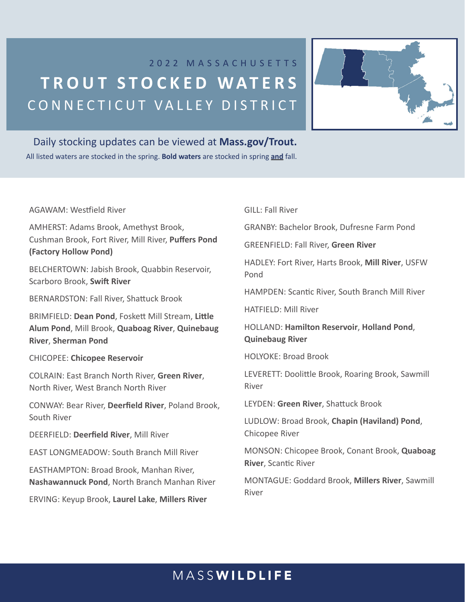# 2022 MASSACHUSETTS **TROUT STOCKE D WATERS** CONNECTICUT VALLEY DISTRICT



## Daily stocking updates can be viewed at **Mass.gov/Trout.**

All listed waters are stocked in the spring. **Bold waters** are stocked in spring **and** fall.

AGAWAM: Westfield River

AMHERST: Adams Brook, Amethyst Brook, Cushman Brook, Fort River, Mill River, **Puffers Pond (Factory Hollow Pond)**

BELCHERTOWN: Jabish Brook, Quabbin Reservoir, Scarboro Brook, **Swift River**

BERNARDSTON: Fall River, Shattuck Brook

BRIMFIELD: **Dean Pond**, Foskett Mill Stream, **Little Alum Pond**, Mill Brook, **Quaboag River**, **Quinebaug River**, **Sherman Pond**

### CHICOPEE: **Chicopee Reservoir**

COLRAIN: East Branch North River, **Green River**, North River, West Branch North River

CONWAY: Bear River, **Deerfield River**, Poland Brook, South River

DEERFIELD: **Deerfield River**, Mill River

EAST LONGMEADOW: South Branch Mill River

EASTHAMPTON: Broad Brook, Manhan River, **Nashawannuck Pond**, North Branch Manhan River

ERVING: Keyup Brook, **Laurel Lake**, **Millers River**

GILL: Fall River

GRANBY: Bachelor Brook, Dufresne Farm Pond

GREENFIELD: Fall River, **Green River**

HADLEY: Fort River, Harts Brook, **Mill River**, USFW Pond

HAMPDEN: Scantic River, South Branch Mill River

HATFIELD: Mill River

HOLLAND: **Hamilton Reservoir**, **Holland Pond**, **Quinebaug River**

HOLYOKE: Broad Brook

LEVERETT: Doolittle Brook, Roaring Brook, Sawmill River

LEYDEN: **Green River**, Shattuck Brook

LUDLOW: Broad Brook, **Chapin (Haviland) Pond**, Chicopee River

MONSON: Chicopee Brook, Conant Brook, **Quaboag River**, Scantic River

MONTAGUE: Goddard Brook, **Millers River**, Sawmill River

# MASSWILDLIFE